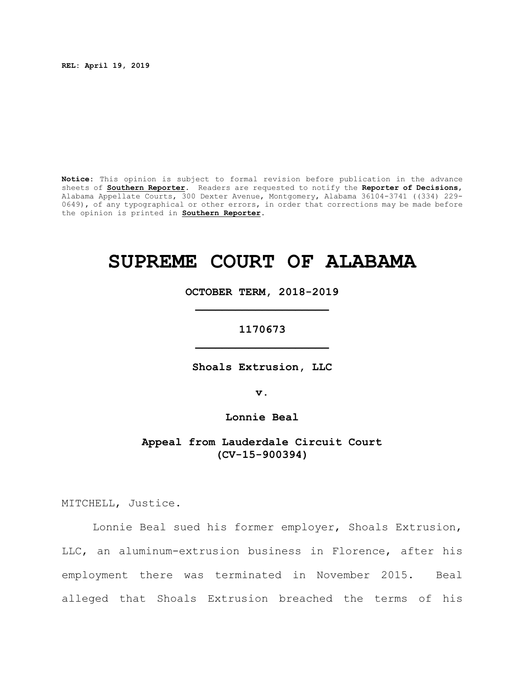**REL: April 19, 2019**

**Notice:** This opinion is subject to formal revision before publication in the advance sheets of **Southern Reporter**. Readers are requested to notify the **Reporter of Decisions**, Alabama Appellate Courts, 300 Dexter Avenue, Montgomery, Alabama 36104-3741 ((334) 229- 0649), of any typographical or other errors, in order that corrections may be made before the opinion is printed in **Southern Reporter**.

# **SUPREME COURT OF ALABAMA**

**OCTOBER TERM, 2018-2019 \_\_\_\_\_\_\_\_\_\_\_\_\_\_\_\_\_\_\_\_**

**1170673 \_\_\_\_\_\_\_\_\_\_\_\_\_\_\_\_\_\_\_\_**

**Shoals Extrusion, LLC**

**v.**

**Lonnie Beal**

**Appeal from Lauderdale Circuit Court (CV-15-900394)**

MITCHELL, Justice.

Lonnie Beal sued his former employer, Shoals Extrusion, LLC, an aluminum-extrusion business in Florence, after his employment there was terminated in November 2015. Beal alleged that Shoals Extrusion breached the terms of his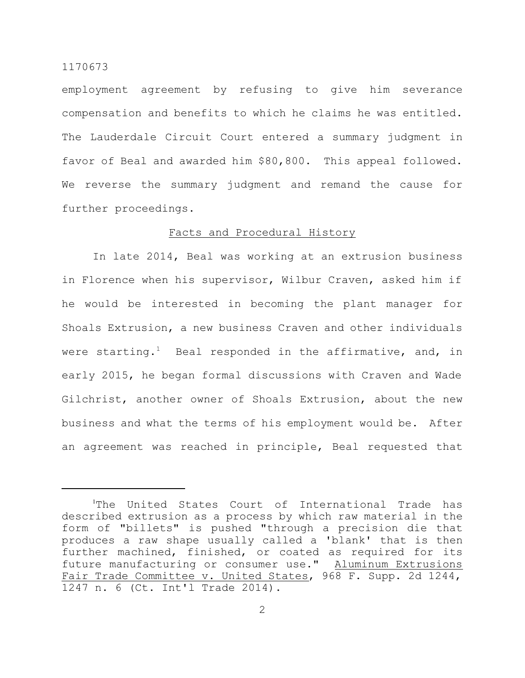employment agreement by refusing to give him severance compensation and benefits to which he claims he was entitled. The Lauderdale Circuit Court entered a summary judgment in favor of Beal and awarded him \$80,800. This appeal followed. We reverse the summary judgment and remand the cause for further proceedings.

## Facts and Procedural History

In late 2014, Beal was working at an extrusion business in Florence when his supervisor, Wilbur Craven, asked him if he would be interested in becoming the plant manager for Shoals Extrusion, a new business Craven and other individuals were starting.<sup>1</sup> Beal responded in the affirmative, and, in early 2015, he began formal discussions with Craven and Wade Gilchrist, another owner of Shoals Extrusion, about the new business and what the terms of his employment would be. After an agreement was reached in principle, Beal requested that

<sup>&</sup>lt;sup>1</sup>The United States Court of International Trade has described extrusion as a process by which raw material in the form of "billets" is pushed "through a precision die that produces a raw shape usually called a 'blank' that is then further machined, finished, or coated as required for its future manufacturing or consumer use." Aluminum Extrusions Fair Trade Committee v. United States, 968 F. Supp. 2d 1244, 1247 n. 6 (Ct. Int'l Trade 2014).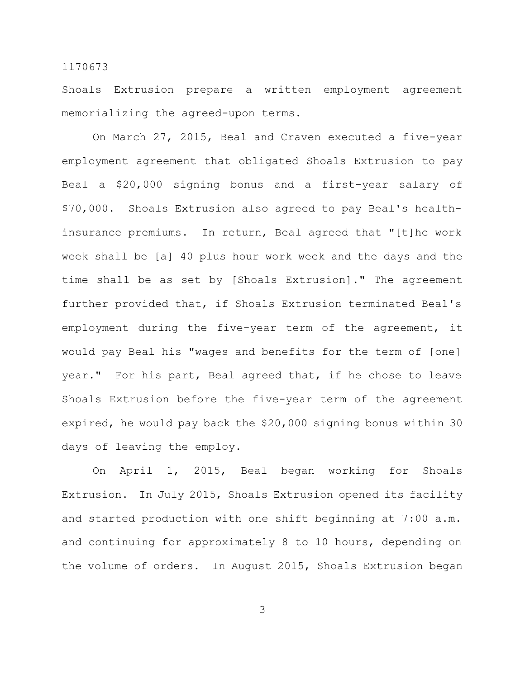Shoals Extrusion prepare a written employment agreement memorializing the agreed-upon terms.

On March 27, 2015, Beal and Craven executed a five-year employment agreement that obligated Shoals Extrusion to pay Beal a \$20,000 signing bonus and a first-year salary of \$70,000. Shoals Extrusion also agreed to pay Beal's healthinsurance premiums. In return, Beal agreed that "[t]he work week shall be [a] 40 plus hour work week and the days and the time shall be as set by [Shoals Extrusion]." The agreement further provided that, if Shoals Extrusion terminated Beal's employment during the five-year term of the agreement, it would pay Beal his "wages and benefits for the term of [one] year." For his part, Beal agreed that, if he chose to leave Shoals Extrusion before the five-year term of the agreement expired, he would pay back the \$20,000 signing bonus within 30 days of leaving the employ.

On April 1, 2015, Beal began working for Shoals Extrusion. In July 2015, Shoals Extrusion opened its facility and started production with one shift beginning at 7:00 a.m. and continuing for approximately 8 to 10 hours, depending on the volume of orders. In August 2015, Shoals Extrusion began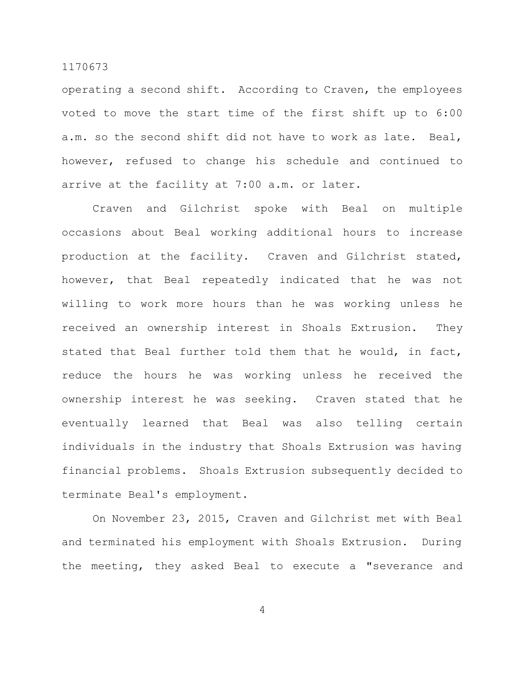operating a second shift. According to Craven, the employees voted to move the start time of the first shift up to 6:00 a.m. so the second shift did not have to work as late. Beal, however, refused to change his schedule and continued to arrive at the facility at 7:00 a.m. or later.

Craven and Gilchrist spoke with Beal on multiple occasions about Beal working additional hours to increase production at the facility. Craven and Gilchrist stated, however, that Beal repeatedly indicated that he was not willing to work more hours than he was working unless he received an ownership interest in Shoals Extrusion. They stated that Beal further told them that he would, in fact, reduce the hours he was working unless he received the ownership interest he was seeking. Craven stated that he eventually learned that Beal was also telling certain individuals in the industry that Shoals Extrusion was having financial problems. Shoals Extrusion subsequently decided to terminate Beal's employment.

On November 23, 2015, Craven and Gilchrist met with Beal and terminated his employment with Shoals Extrusion. During the meeting, they asked Beal to execute a "severance and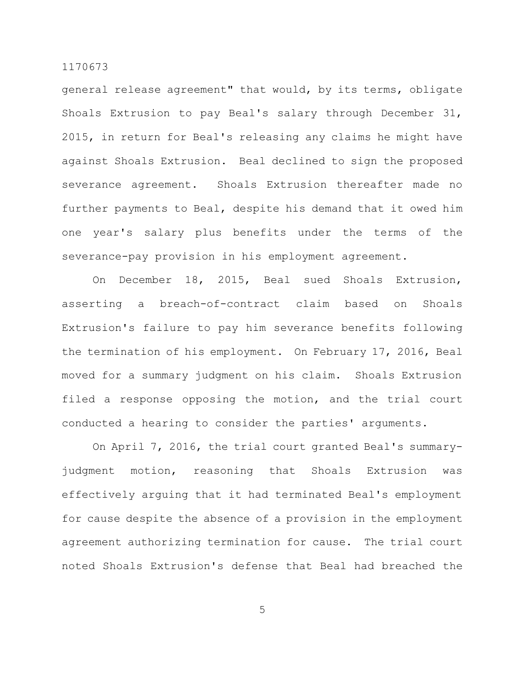general release agreement" that would, by its terms, obligate Shoals Extrusion to pay Beal's salary through December 31, 2015, in return for Beal's releasing any claims he might have against Shoals Extrusion. Beal declined to sign the proposed severance agreement. Shoals Extrusion thereafter made no further payments to Beal, despite his demand that it owed him one year's salary plus benefits under the terms of the severance-pay provision in his employment agreement.

On December 18, 2015, Beal sued Shoals Extrusion, asserting a breach-of-contract claim based on Shoals Extrusion's failure to pay him severance benefits following the termination of his employment. On February 17, 2016, Beal moved for a summary judgment on his claim. Shoals Extrusion filed a response opposing the motion, and the trial court conducted a hearing to consider the parties' arguments.

On April 7, 2016, the trial court granted Beal's summaryjudgment motion, reasoning that Shoals Extrusion was effectively arguing that it had terminated Beal's employment for cause despite the absence of a provision in the employment agreement authorizing termination for cause. The trial court noted Shoals Extrusion's defense that Beal had breached the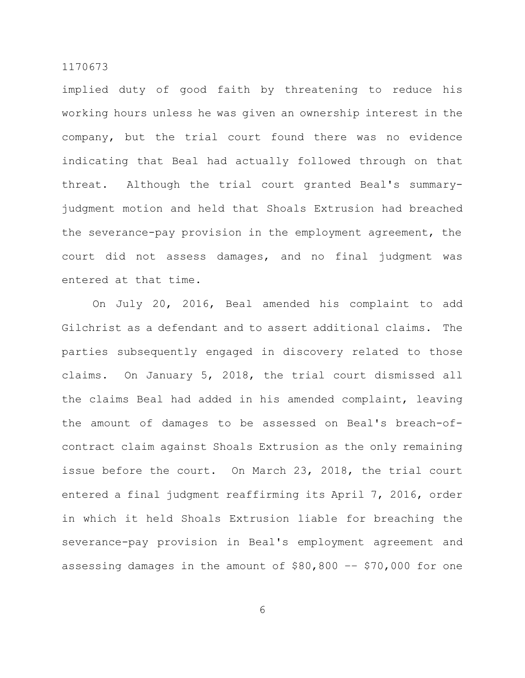implied duty of good faith by threatening to reduce his working hours unless he was given an ownership interest in the company, but the trial court found there was no evidence indicating that Beal had actually followed through on that threat. Although the trial court granted Beal's summaryjudgment motion and held that Shoals Extrusion had breached the severance-pay provision in the employment agreement, the court did not assess damages, and no final judgment was entered at that time.

On July 20, 2016, Beal amended his complaint to add Gilchrist as a defendant and to assert additional claims. The parties subsequently engaged in discovery related to those claims. On January 5, 2018, the trial court dismissed all the claims Beal had added in his amended complaint, leaving the amount of damages to be assessed on Beal's breach-ofcontract claim against Shoals Extrusion as the only remaining issue before the court. On March 23, 2018, the trial court entered a final judgment reaffirming its April 7, 2016, order in which it held Shoals Extrusion liable for breaching the severance-pay provision in Beal's employment agreement and assessing damages in the amount of \$80,800 –– \$70,000 for one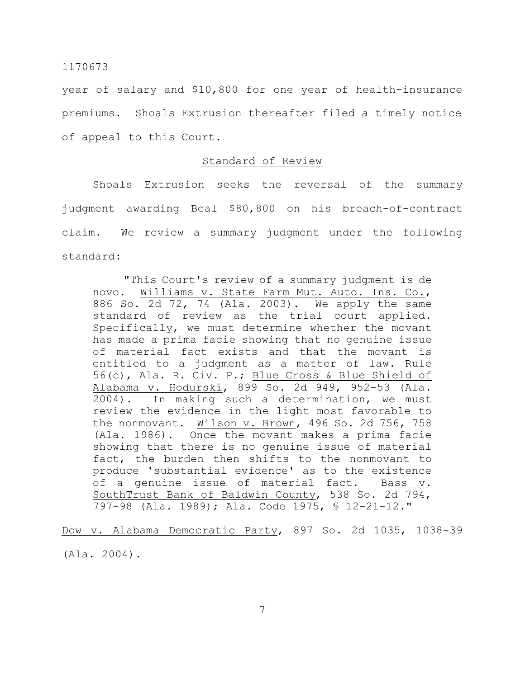year of salary and \$10,800 for one year of health-insurance premiums. Shoals Extrusion thereafter filed a timely notice of appeal to this Court.

# Standard of Review

Shoals Extrusion seeks the reversal of the summary judgment awarding Beal \$80,800 on his breach-of-contract claim. We review a summary judgment under the following standard:

"This Court's review of a summary judgment is de novo. Williams v. State Farm Mut. Auto. Ins. Co., 886 So. 2d 72, 74 (Ala. 2003). We apply the same standard of review as the trial court applied. Specifically, we must determine whether the movant has made a prima facie showing that no genuine issue of material fact exists and that the movant is entitled to a judgment as a matter of law. Rule 56(c), Ala. R. Civ. P.; Blue Cross & Blue Shield of Alabama v. Hodurski, 899 So. 2d 949, 952-53 (Ala. 2004). In making such a determination, we must review the evidence in the light most favorable to the nonmovant. Wilson v. Brown, 496 So. 2d 756, 758 (Ala. 1986). Once the movant makes a prima facie showing that there is no genuine issue of material fact, the burden then shifts to the nonmovant to produce 'substantial evidence' as to the existence of a genuine issue of material fact. Bass v. SouthTrust Bank of Baldwin County, 538 So. 2d 794, 797-98 (Ala. 1989); Ala. Code 1975, § 12-21-12."

Dow v. Alabama Democratic Party, 897 So. 2d 1035, 1038-39 (Ala. 2004).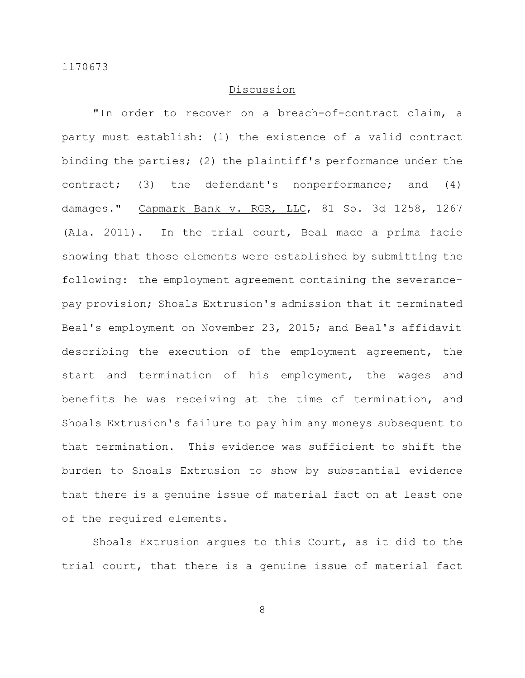## Discussion

"In order to recover on a breach-of-contract claim, a party must establish: (1) the existence of a valid contract binding the parties; (2) the plaintiff's performance under the contract; (3) the defendant's nonperformance; and (4) damages." Capmark Bank v. RGR, LLC, 81 So. 3d 1258, 1267 (Ala. 2011). In the trial court, Beal made a prima facie showing that those elements were established by submitting the following: the employment agreement containing the severancepay provision; Shoals Extrusion's admission that it terminated Beal's employment on November 23, 2015; and Beal's affidavit describing the execution of the employment agreement, the start and termination of his employment, the wages and benefits he was receiving at the time of termination, and Shoals Extrusion's failure to pay him any moneys subsequent to that termination. This evidence was sufficient to shift the burden to Shoals Extrusion to show by substantial evidence that there is a genuine issue of material fact on at least one of the required elements.

Shoals Extrusion argues to this Court, as it did to the trial court, that there is a genuine issue of material fact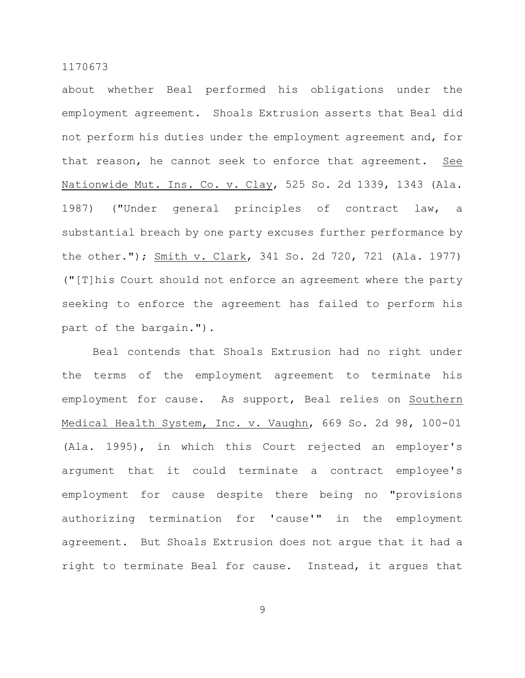about whether Beal performed his obligations under the employment agreement. Shoals Extrusion asserts that Beal did not perform his duties under the employment agreement and, for that reason, he cannot seek to enforce that agreement. See Nationwide Mut. Ins. Co. v. Clay, 525 So. 2d 1339, 1343 (Ala. 1987) ("Under general principles of contract law, a substantial breach by one party excuses further performance by the other."); Smith v. Clark, 341 So. 2d 720, 721 (Ala. 1977) ("[T]his Court should not enforce an agreement where the party seeking to enforce the agreement has failed to perform his part of the bargain.").

Beal contends that Shoals Extrusion had no right under the terms of the employment agreement to terminate his employment for cause. As support, Beal relies on Southern Medical Health System, Inc. v. Vaughn, 669 So. 2d 98, 100-01 (Ala. 1995), in which this Court rejected an employer's argument that it could terminate a contract employee's employment for cause despite there being no "provisions authorizing termination for 'cause'" in the employment agreement. But Shoals Extrusion does not argue that it had a right to terminate Beal for cause. Instead, it argues that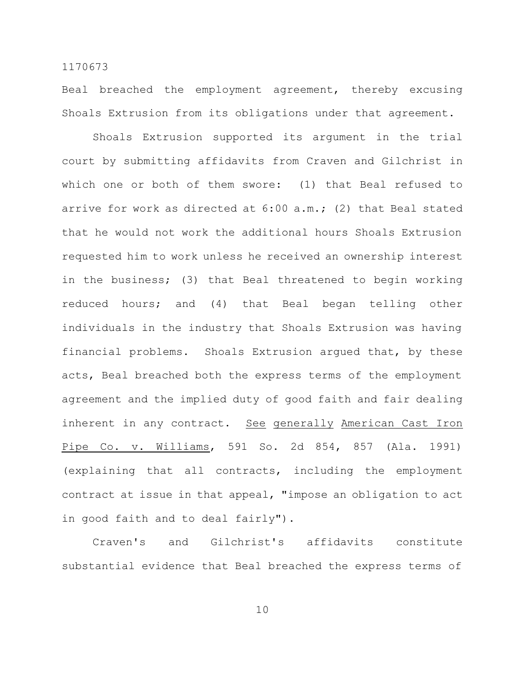Beal breached the employment agreement, thereby excusing Shoals Extrusion from its obligations under that agreement.

Shoals Extrusion supported its argument in the trial court by submitting affidavits from Craven and Gilchrist in which one or both of them swore: (1) that Beal refused to arrive for work as directed at 6:00 a.m.; (2) that Beal stated that he would not work the additional hours Shoals Extrusion requested him to work unless he received an ownership interest in the business; (3) that Beal threatened to begin working reduced hours; and (4) that Beal began telling other individuals in the industry that Shoals Extrusion was having financial problems. Shoals Extrusion argued that, by these acts, Beal breached both the express terms of the employment agreement and the implied duty of good faith and fair dealing inherent in any contract. See generally American Cast Iron Pipe Co. v. Williams, 591 So. 2d 854, 857 (Ala. 1991) (explaining that all contracts, including the employment contract at issue in that appeal, "impose an obligation to act in good faith and to deal fairly").

Craven's and Gilchrist's affidavits constitute substantial evidence that Beal breached the express terms of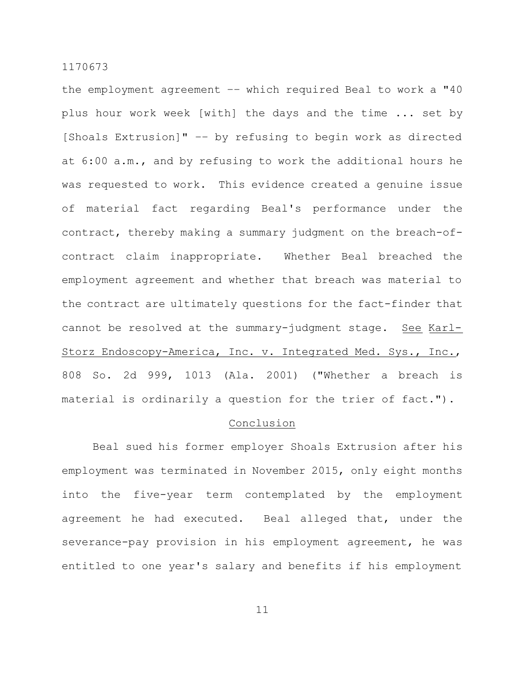the employment agreement –– which required Beal to work a "40 plus hour work week [with] the days and the time ... set by [Shoals Extrusion]" –– by refusing to begin work as directed at 6:00 a.m., and by refusing to work the additional hours he was requested to work. This evidence created a genuine issue of material fact regarding Beal's performance under the contract, thereby making a summary judgment on the breach-ofcontract claim inappropriate. Whether Beal breached the employment agreement and whether that breach was material to the contract are ultimately questions for the fact-finder that cannot be resolved at the summary-judgment stage. See Karl-Storz Endoscopy-America, Inc. v. Integrated Med. Sys., Inc., 808 So. 2d 999, 1013 (Ala. 2001) ("Whether a breach is material is ordinarily a question for the trier of fact.").

## Conclusion

Beal sued his former employer Shoals Extrusion after his employment was terminated in November 2015, only eight months into the five-year term contemplated by the employment agreement he had executed. Beal alleged that, under the severance-pay provision in his employment agreement, he was entitled to one year's salary and benefits if his employment